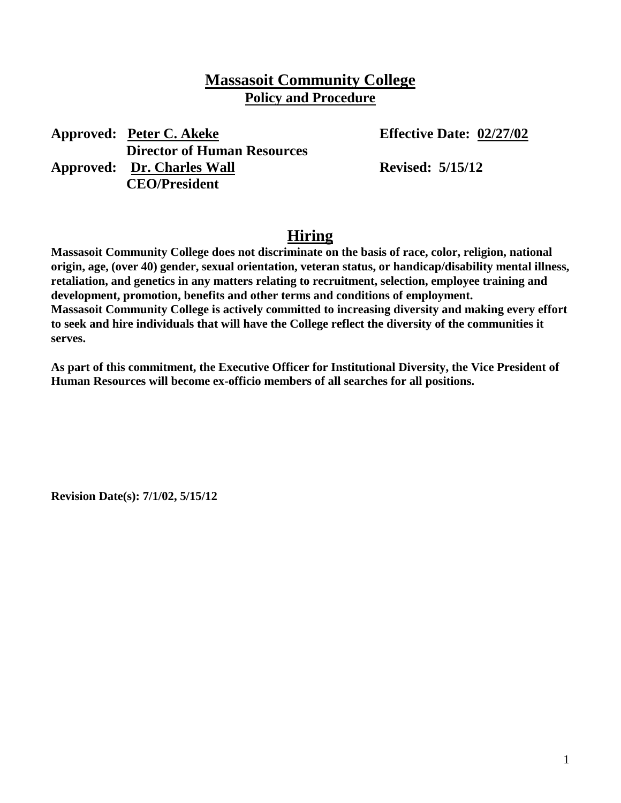### **Massasoit Community College Policy and Procedure**

**Approved: Peter C. Akeke Effective Date: 02/27/02 Director of Human Resources Approved: Dr. Charles Wall Revised: 5/15/12 CEO/President**

## **Hiring**

**Massasoit Community College does not discriminate on the basis of race, color, religion, national origin, age, (over 40) gender, sexual orientation, veteran status, or handicap/disability mental illness, retaliation, and genetics in any matters relating to recruitment, selection, employee training and development, promotion, benefits and other terms and conditions of employment. Massasoit Community College is actively committed to increasing diversity and making every effort to seek and hire individuals that will have the College reflect the diversity of the communities it serves.**

**As part of this commitment, the Executive Officer for Institutional Diversity, the Vice President of Human Resources will become ex-officio members of all searches for all positions.**

**Revision Date(s): 7/1/02, 5/15/12**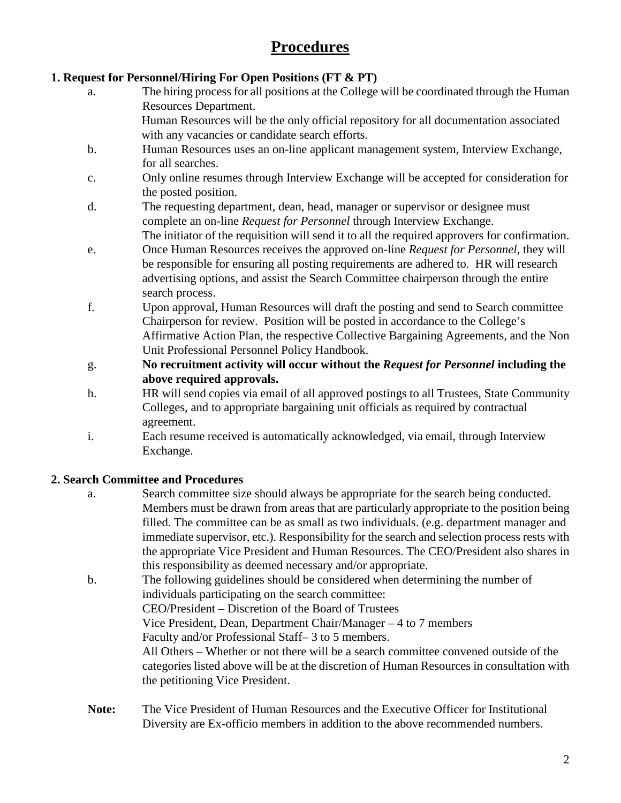# **Procedures**

#### **1. Request for Personnel/Hiring For Open Positions (FT & PT)**

- a. The hiring process for all positions at the College will be coordinated through the Human Resources Department. Human Resources will be the only official repository for all documentation associated with any vacancies or candidate search efforts.
- b. Human Resources uses an on-line applicant management system, Interview Exchange, for all searches.
- c. Only online resumes through Interview Exchange will be accepted for consideration for the posted position.
- d. The requesting department, dean, head, manager or supervisor or designee must complete an on-line *Request for Personnel* through Interview Exchange. The initiator of the requisition will send it to all the required approvers for confirmation.
- e. Once Human Resources receives the approved on-line *Request for Personnel*, they will be responsible for ensuring all posting requirements are adhered to. HR will research advertising options, and assist the Search Committee chairperson through the entire search process.
- f. Upon approval, Human Resources will draft the posting and send to Search committee Chairperson for review. Position will be posted in accordance to the College's Affirmative Action Plan, the respective Collective Bargaining Agreements, and the Non Unit Professional Personnel Policy Handbook.
- g. **No recruitment activity will occur without the** *Request for Personnel* **including the above required approvals.**
- h. HR will send copies via email of all approved postings to all Trustees, State Community Colleges, and to appropriate bargaining unit officials as required by contractual agreement.
- i. Each resume received is automatically acknowledged, via email, through Interview Exchange.

#### **2. Search Committee and Procedures**

- a. Search committee size should always be appropriate for the search being conducted. Members must be drawn from areas that are particularly appropriate to the position being filled. The committee can be as small as two individuals. (e.g. department manager and immediate supervisor, etc.). Responsibility for the search and selection process rests with the appropriate Vice President and Human Resources. The CEO/President also shares in this responsibility as deemed necessary and/or appropriate.
- b. The following guidelines should be considered when determining the number of individuals participating on the search committee: CEO/President – Discretion of the Board of Trustees Vice President, Dean, Department Chair/Manager – 4 to 7 members Faculty and/or Professional Staff– 3 to 5 members. All Others – Whether or not there will be a search committee convened outside of the categories listed above will be at the discretion of Human Resources in consultation with the petitioning Vice President.
- **Note:** The Vice President of Human Resources and the Executive Officer for Institutional Diversity are Ex-officio members in addition to the above recommended numbers.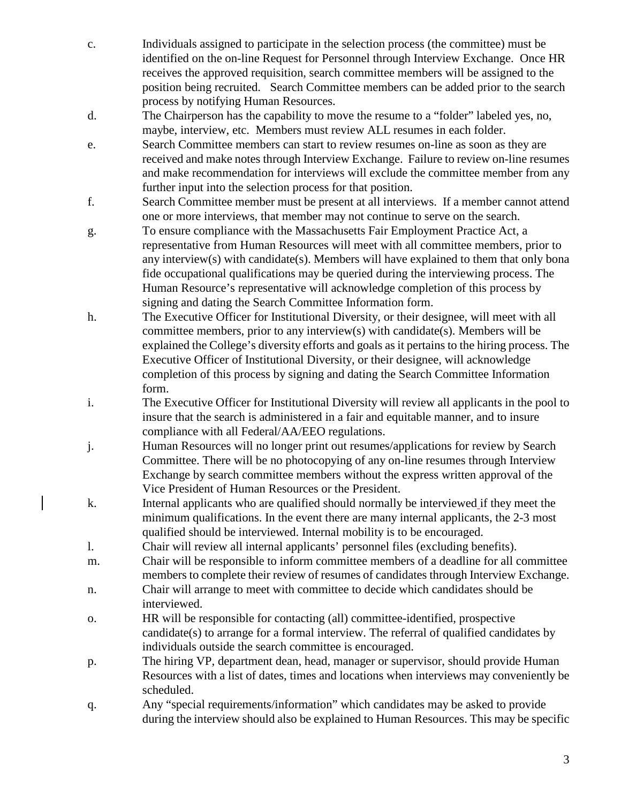- c. Individuals assigned to participate in the selection process (the committee) must be identified on the on-line Request for Personnel through Interview Exchange. Once HR receives the approved requisition, search committee members will be assigned to the position being recruited. Search Committee members can be added prior to the search process by notifying Human Resources.
- d. The Chairperson has the capability to move the resume to a "folder" labeled yes, no, maybe, interview, etc. Members must review ALL resumes in each folder.
- e. Search Committee members can start to review resumes on-line as soon as they are received and make notes through Interview Exchange. Failure to review on-line resumes and make recommendation for interviews will exclude the committee member from any further input into the selection process for that position.
- f. Search Committee member must be present at all interviews. If a member cannot attend one or more interviews, that member may not continue to serve on the search.
- g. To ensure compliance with the Massachusetts Fair Employment Practice Act, a representative from Human Resources will meet with all committee members, prior to any interview(s) with candidate(s). Members will have explained to them that only bona fide occupational qualifications may be queried during the interviewing process. The Human Resource's representative will acknowledge completion of this process by signing and dating the Search Committee Information form.
- h. The Executive Officer for Institutional Diversity, or their designee, will meet with all committee members, prior to any interview(s) with candidate(s). Members will be explained the College's diversity efforts and goals as it pertains to the hiring process. The Executive Officer of Institutional Diversity, or their designee, will acknowledge completion of this process by signing and dating the Search Committee Information form.
- i. The Executive Officer for Institutional Diversity will review all applicants in the pool to insure that the search is administered in a fair and equitable manner, and to insure compliance with all Federal/AA/EEO regulations.
- j. Human Resources will no longer print out resumes/applications for review by Search Committee. There will be no photocopying of any on-line resumes through Interview Exchange by search committee members without the express written approval of the Vice President of Human Resources or the President.
- k. Internal applicants who are qualified should normally be interviewed if they meet the minimum qualifications. In the event there are many internal applicants, the 2-3 most qualified should be interviewed. Internal mobility is to be encouraged.
- l. Chair will review all internal applicants' personnel files (excluding benefits).
- m. Chair will be responsible to inform committee members of a deadline for all committee members to complete their review of resumes of candidates through Interview Exchange.
- n. Chair will arrange to meet with committee to decide which candidates should be interviewed.
- o. HR will be responsible for contacting (all) committee-identified, prospective candidate(s) to arrange for a formal interview. The referral of qualified candidates by individuals outside the search committee is encouraged.
- p. The hiring VP, department dean, head, manager or supervisor, should provide Human Resources with a list of dates, times and locations when interviews may conveniently be scheduled.
- q. Any "special requirements/information" which candidates may be asked to provide during the interview should also be explained to Human Resources. This may be specific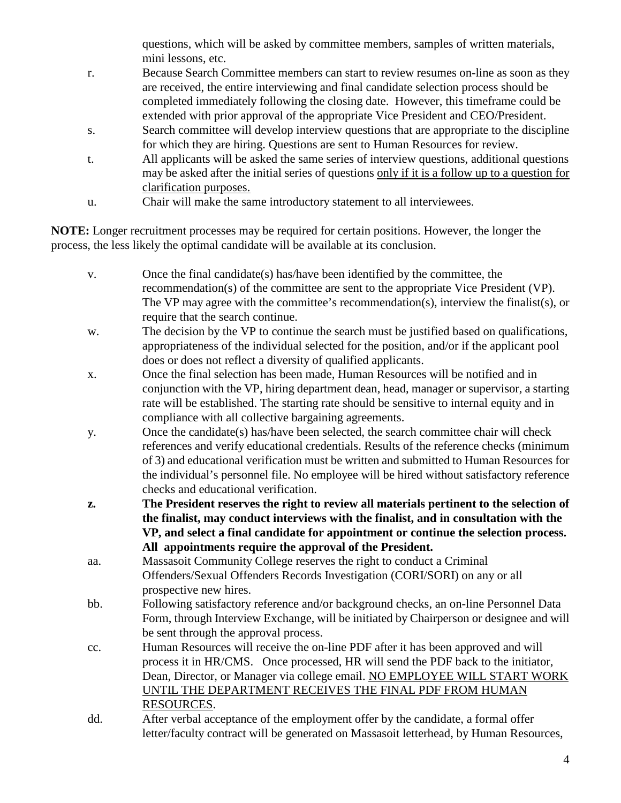questions, which will be asked by committee members, samples of written materials, mini lessons, etc.

- r. Because Search Committee members can start to review resumes on-line as soon as they are received, the entire interviewing and final candidate selection process should be completed immediately following the closing date. However, this timeframe could be extended with prior approval of the appropriate Vice President and CEO/President.
- s. Search committee will develop interview questions that are appropriate to the discipline for which they are hiring. Questions are sent to Human Resources for review.
- t. All applicants will be asked the same series of interview questions, additional questions may be asked after the initial series of questions only if it is a follow up to a question for clarification purposes.
- u. Chair will make the same introductory statement to all interviewees.

**NOTE:** Longer recruitment processes may be required for certain positions. However, the longer the process, the less likely the optimal candidate will be available at its conclusion.

- v. Once the final candidate(s) has/have been identified by the committee, the recommendation(s) of the committee are sent to the appropriate Vice President (VP). The VP may agree with the committee's recommendation(s), interview the finalist(s), or require that the search continue.
- w. The decision by the VP to continue the search must be justified based on qualifications, appropriateness of the individual selected for the position, and/or if the applicant pool does or does not reflect a diversity of qualified applicants.
- x. Once the final selection has been made, Human Resources will be notified and in conjunction with the VP, hiring department dean, head, manager or supervisor, a starting rate will be established. The starting rate should be sensitive to internal equity and in compliance with all collective bargaining agreements.
- y. Once the candidate(s) has/have been selected, the search committee chair will check references and verify educational credentials. Results of the reference checks (minimum of 3) and educational verification must be written and submitted to Human Resources for the individual's personnel file. No employee will be hired without satisfactory reference checks and educational verification.
- **z. The President reserves the right to review all materials pertinent to the selection of the finalist, may conduct interviews with the finalist, and in consultation with the VP, and select a final candidate for appointment or continue the selection process. All appointments require the approval of the President.**
- aa. Massasoit Community College reserves the right to conduct a Criminal Offenders/Sexual Offenders Records Investigation (CORI/SORI) on any or all prospective new hires.
- bb. Following satisfactory reference and/or background checks, an on-line Personnel Data Form, through Interview Exchange, will be initiated by Chairperson or designee and will be sent through the approval process.
- cc. Human Resources will receive the on-line PDF after it has been approved and will process it in HR/CMS. Once processed, HR will send the PDF back to the initiator, Dean, Director, or Manager via college email. NO EMPLOYEE WILL START WORK UNTIL THE DEPARTMENT RECEIVES THE FINAL PDF FROM HUMAN RESOURCES.
- dd. After verbal acceptance of the employment offer by the candidate, a formal offer letter/faculty contract will be generated on Massasoit letterhead, by Human Resources,